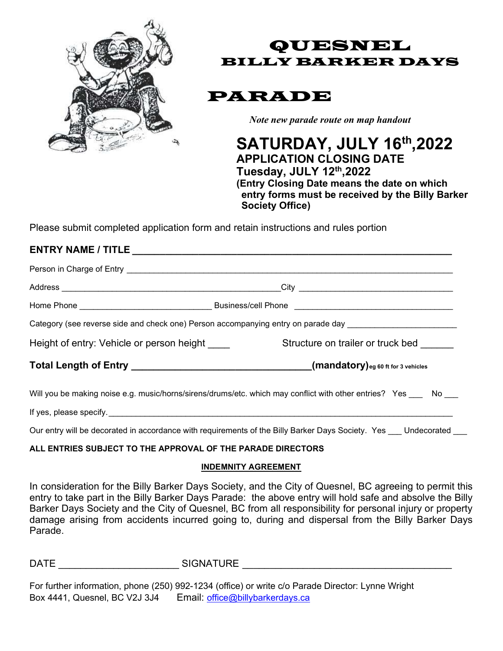

QUESNEL BILLY BARKER DAYS

PARADE

Note new parade route on map handout

 SATURDAY, JULY 16th,2022 APPLICATION CLOSING DATE Tuesday, JULY 12th,2022 (Entry Closing Date means the date on which entry forms must be received by the Billy Barker Society Office)

Please submit completed application form and retain instructions and rules portion

### ENTRY NAME / TITLE \_\_\_\_\_\_\_\_\_\_\_\_\_\_\_\_\_\_\_\_\_\_\_\_\_\_\_\_\_\_\_\_\_\_\_\_\_\_\_\_\_\_\_\_\_\_\_\_\_\_\_\_\_\_\_\_\_\_

Person in Charge of Entry **Entry and The Entry and The Entry and The Entry and The Entry and The Entry and The Entry** 

Address \_\_\_\_\_\_\_\_\_\_\_\_\_\_\_\_\_\_\_\_\_\_\_\_\_\_\_\_\_\_\_\_\_\_\_\_\_\_\_\_\_\_\_\_\_\_\_\_City \_\_\_\_\_\_\_\_\_\_\_\_\_\_\_\_\_\_\_\_\_\_\_\_\_\_\_\_\_\_\_\_\_\_

Home Phone \_\_\_\_\_\_\_\_\_\_\_\_\_\_\_\_\_\_\_\_\_\_\_\_\_\_\_\_\_ Business/cell Phone \_\_\_\_\_\_\_\_\_\_\_\_\_\_\_\_\_\_\_\_\_\_\_\_\_\_\_\_\_\_\_\_\_\_\_

Category (see reverse side and check one) Person accompanying entry on parade day \_\_\_\_\_\_\_\_\_\_\_\_\_\_\_\_\_\_\_\_\_\_\_\_\_\_\_

Height of entry: Vehicle or person height entitled as Structure on trailer or truck bed

Total Length of Entry \_\_\_\_\_\_\_\_\_\_\_\_\_\_\_\_\_\_\_\_\_\_\_\_\_\_\_\_\_\_\_\_\_(mandatory)eg 60 ft for 3 vehicles

Will you be making noise e.g. music/horns/sirens/drums/etc. which may conflict with other entries? Yes No

If yes, please specify.

Our entry will be decorated in accordance with requirements of the Billy Barker Days Society. Yes Undecorated

### ALL ENTRIES SUBJECT TO THE APPROVAL OF THE PARADE DIRECTORS

#### INDEMNITY AGREEMENT

In consideration for the Billy Barker Days Society, and the City of Quesnel, BC agreeing to permit this entry to take part in the Billy Barker Days Parade: the above entry will hold safe and absolve the Billy Barker Days Society and the City of Quesnel, BC from all responsibility for personal injury or property damage arising from accidents incurred going to, during and dispersal from the Billy Barker Days Parade.

DATE \_\_\_\_\_\_\_\_\_\_\_\_\_\_\_\_\_\_\_\_\_\_ SIGNATURE \_\_\_\_\_\_\_\_\_\_\_\_\_\_\_\_\_\_\_\_\_\_\_\_\_\_\_\_\_\_\_\_\_\_\_\_\_\_

For further information, phone (250) 992-1234 (office) or write c/o Parade Director: Lynne Wright Box 4441, Quesnel, BC V2J 3J4 Email: office@billybarkerdays.ca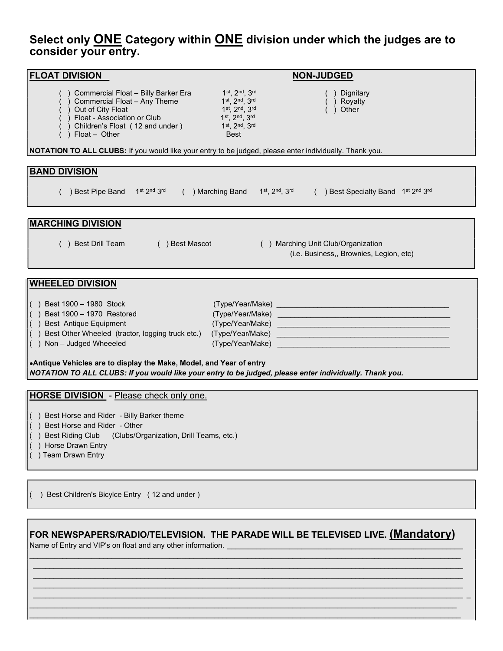## Select only ONE Category within ONE division under which the judges are to consider your entry.

| <b>FLOAT DIVISION</b>                                                                                                                                                                                                                                                                                                                                          |                                                                                                  | <b>NON-JUDGED</b>                                                                                                                                                                                                                       |
|----------------------------------------------------------------------------------------------------------------------------------------------------------------------------------------------------------------------------------------------------------------------------------------------------------------------------------------------------------------|--------------------------------------------------------------------------------------------------|-----------------------------------------------------------------------------------------------------------------------------------------------------------------------------------------------------------------------------------------|
| ) Commercial Float - Billy Barker Era<br>) Commercial Float - Any Theme<br>) Out of City Float<br>Float - Association or Club<br>Children's Float (12 and under)<br>Float - Other                                                                                                                                                                              | 1st, 2nd, 3rd<br>1st, 2nd, 3rd<br>1st, 2nd, 3rd<br>1st. 2nd. 3rd<br>1st, 2nd, 3rd<br><b>Best</b> | Dignitary<br>) Royalty<br>Other                                                                                                                                                                                                         |
| NOTATION TO ALL CLUBS: If you would like your entry to be judged, please enter individually. Thank you.                                                                                                                                                                                                                                                        |                                                                                                  |                                                                                                                                                                                                                                         |
| <b>BAND DIVISION</b>                                                                                                                                                                                                                                                                                                                                           |                                                                                                  |                                                                                                                                                                                                                                         |
|                                                                                                                                                                                                                                                                                                                                                                |                                                                                                  |                                                                                                                                                                                                                                         |
| ) Best Pipe Band 1st 2nd 3rd                                                                                                                                                                                                                                                                                                                                   | () Marching Band 1 <sup>st</sup> , 2 <sup>nd</sup> , 3 <sup>rd</sup>                             | () Best Specialty Band 1st 2nd 3rd                                                                                                                                                                                                      |
| <b>MARCHING DIVISION</b>                                                                                                                                                                                                                                                                                                                                       |                                                                                                  |                                                                                                                                                                                                                                         |
| () Best Drill Team<br>( ) Best Mascot<br>() Marching Unit Club/Organization<br>(i.e. Business,, Brownies, Legion, etc)                                                                                                                                                                                                                                         |                                                                                                  |                                                                                                                                                                                                                                         |
| <b>WHEELED DIVISION</b>                                                                                                                                                                                                                                                                                                                                        |                                                                                                  |                                                                                                                                                                                                                                         |
| $( )$ Best 1900 - 1980 Stock<br>) Best 1900 - 1970 Restored<br>) Best Antique Equipment<br>) Best Other Wheeled (tractor, logging truck etc.)<br>$( )$ Non - Judged Wheeeled<br>.Antique Vehicles are to display the Make, Model, and Year of entry<br>NOTATION TO ALL CLUBS: If you would like your entry to be judged, please enter individually. Thank you. | (Type/Year/Make)<br>(Type/Year/Make)                                                             | <u> 1989 - Johann Barbara, martin da basar da basar da basar da basar da basar da basar da basar da basar</u><br><u> 1989 - Johann Stein, marwolaethau a bhann an t-Albann an t-Albann an t-Albann an t-Albann an t-Albann an t-Alb</u> |
| <b>HORSE DIVISION</b> - Please check only one.                                                                                                                                                                                                                                                                                                                 |                                                                                                  |                                                                                                                                                                                                                                         |
| () Best Horse and Rider - Billy Barker theme<br>() Best Horse and Rider - Other<br>) Best Riding Club<br>(Clubs/Organization, Drill Teams, etc.)<br>Horse Drawn Entry<br>) Team Drawn Entry                                                                                                                                                                    |                                                                                                  |                                                                                                                                                                                                                                         |
|                                                                                                                                                                                                                                                                                                                                                                |                                                                                                  |                                                                                                                                                                                                                                         |
| ) Best Children's Bicylce Entry (12 and under)                                                                                                                                                                                                                                                                                                                 |                                                                                                  |                                                                                                                                                                                                                                         |
|                                                                                                                                                                                                                                                                                                                                                                |                                                                                                  |                                                                                                                                                                                                                                         |
| FOR NEWSPAPERS/RADIO/TELEVISION. THE PARADE WILL BE TELEVISED LIVE. (Mandatory)<br>Name of Entry and VIP's on float and any other information. <b>Consuming the State of Anti-</b>                                                                                                                                                                             |                                                                                                  |                                                                                                                                                                                                                                         |

 $\mathcal{L}_\text{max} = \frac{1}{2} \sum_{i=1}^{n} \mathcal{L}_\text{max} = \frac{1}{2} \sum_{i=1}^{n} \mathcal{L}_\text{max} = \frac{1}{2} \sum_{i=1}^{n} \mathcal{L}_\text{max} = \frac{1}{2} \sum_{i=1}^{n} \mathcal{L}_\text{max} = \frac{1}{2} \sum_{i=1}^{n} \mathcal{L}_\text{max} = \frac{1}{2} \sum_{i=1}^{n} \mathcal{L}_\text{max} = \frac{1}{2} \sum_{i=1}^{n} \mathcal{L}_\text{max} = \frac{1}{$ 

 $\_$  ,  $\_$  ,  $\_$  ,  $\_$  ,  $\_$  ,  $\_$  ,  $\_$  ,  $\_$  ,  $\_$  ,  $\_$  ,  $\_$  ,  $\_$  ,  $\_$  ,  $\_$  ,  $\_$  ,  $\_$  ,  $\_$  ,  $\_$  ,  $\_$  ,  $\_$  ,  $\_$  ,  $\_$  ,  $\_$  ,  $\_$  ,  $\_$  ,  $\_$  ,  $\_$  ,  $\_$  ,  $\_$  ,  $\_$  ,  $\_$  ,  $\_$  ,  $\_$  ,  $\_$  ,  $\_$  ,  $\_$  ,  $\_$  ,

 \_\_\_\_\_\_\_\_\_\_\_\_\_\_\_\_\_\_\_\_\_\_\_\_\_\_\_\_\_\_\_\_\_\_\_\_\_\_\_\_\_\_\_\_\_\_\_\_\_\_\_\_\_\_\_\_\_\_\_\_\_\_\_\_\_\_\_\_\_\_\_\_\_\_\_\_\_\_\_\_\_\_\_\_\_\_\_\_\_\_\_\_\_\_\_\_\_\_\_\_\_\_\_\_ \_\_\_\_\_\_\_\_\_\_\_\_\_\_\_\_\_\_\_\_\_\_\_\_\_\_\_\_\_\_\_\_\_\_\_\_\_\_\_\_\_\_\_\_\_\_\_\_\_\_\_\_\_\_\_\_\_\_\_\_\_\_\_\_\_\_\_\_\_\_\_\_\_\_\_\_\_\_\_\_\_\_\_\_\_\_\_\_\_\_\_\_\_\_\_\_\_\_\_\_\_\_\_\_ \_  $\_$  ,  $\_$  ,  $\_$  ,  $\_$  ,  $\_$  ,  $\_$  ,  $\_$  ,  $\_$  ,  $\_$  ,  $\_$  ,  $\_$  ,  $\_$  ,  $\_$  ,  $\_$  ,  $\_$  ,  $\_$  ,  $\_$  ,  $\_$  ,  $\_$  ,  $\_$  ,  $\_$  ,  $\_$  ,  $\_$  ,  $\_$  ,  $\_$  ,  $\_$  ,  $\_$  ,  $\_$  ,  $\_$  ,  $\_$  ,  $\_$  ,  $\_$  ,  $\_$  ,  $\_$  ,  $\_$  ,  $\_$  ,  $\_$  ,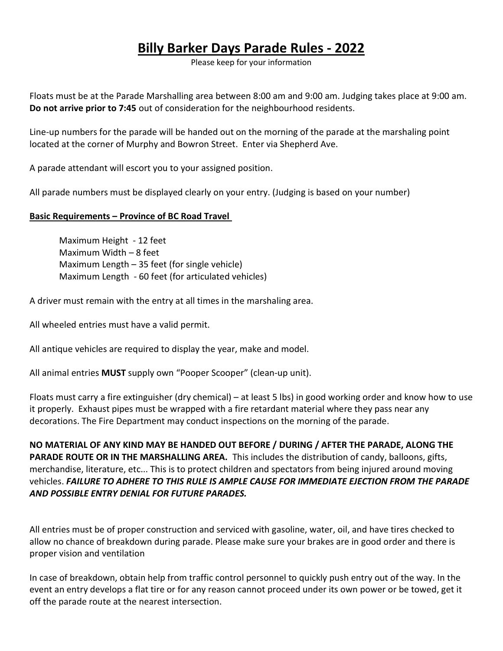# Billy Barker Days Parade Rules - 2022

Please keep for your information

Floats must be at the Parade Marshalling area between 8:00 am and 9:00 am. Judging takes place at 9:00 am. Do not arrive prior to 7:45 out of consideration for the neighbourhood residents.

Line-up numbers for the parade will be handed out on the morning of the parade at the marshaling point located at the corner of Murphy and Bowron Street. Enter via Shepherd Ave.

A parade attendant will escort you to your assigned position.

All parade numbers must be displayed clearly on your entry. (Judging is based on your number)

### Basic Requirements – Province of BC Road Travel

Maximum Height - 12 feet Maximum Width – 8 feet Maximum Length – 35 feet (for single vehicle) Maximum Length - 60 feet (for articulated vehicles)

A driver must remain with the entry at all times in the marshaling area.

All wheeled entries must have a valid permit.

All antique vehicles are required to display the year, make and model.

All animal entries MUST supply own "Pooper Scooper" (clean-up unit).

Floats must carry a fire extinguisher (dry chemical) – at least 5 lbs) in good working order and know how to use it properly. Exhaust pipes must be wrapped with a fire retardant material where they pass near any decorations. The Fire Department may conduct inspections on the morning of the parade.

NO MATERIAL OF ANY KIND MAY BE HANDED OUT BEFORE / DURING / AFTER THE PARADE, ALONG THE PARADE ROUTE OR IN THE MARSHALLING AREA. This includes the distribution of candy, balloons, gifts, merchandise, literature, etc... This is to protect children and spectators from being injured around moving vehicles. FAILURE TO ADHERE TO THIS RULE IS AMPLE CAUSE FOR IMMEDIATE EJECTION FROM THE PARADE AND POSSIBLE ENTRY DENIAL FOR FUTURE PARADES.

All entries must be of proper construction and serviced with gasoline, water, oil, and have tires checked to allow no chance of breakdown during parade. Please make sure your brakes are in good order and there is proper vision and ventilation

In case of breakdown, obtain help from traffic control personnel to quickly push entry out of the way. In the event an entry develops a flat tire or for any reason cannot proceed under its own power or be towed, get it off the parade route at the nearest intersection.